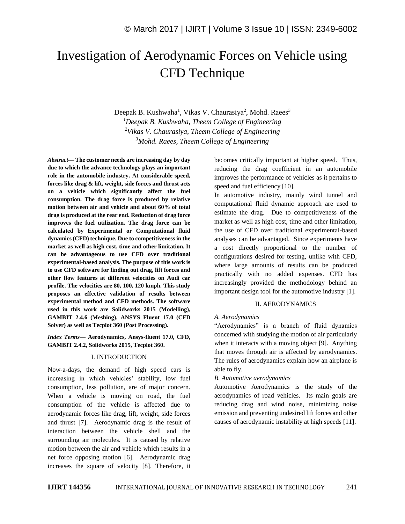# Investigation of Aerodynamic Forces on Vehicle using CFD Technique

Deepak B. Kushwaha<sup>1</sup>, Vikas V. Chaurasiya<sup>2</sup>, Mohd. Raees<sup>3</sup> *Deepak B. Kushwaha, Theem College of Engineering Vikas V. Chaurasiya, Theem College of Engineering Mohd. Raees, Theem College of Engineering*

*Abstract—* **The customer needs are increasing day by day due to which the advance technology plays an important role in the automobile industry. At considerable speed, forces like drag & lift, weight, side forces and thrust acts on a vehicle which significantly affect the fuel consumption. The drag force is produced by relative motion between air and vehicle and about 60% of total drag is produced at the rear end. Reduction of drag force improves the fuel utilization. The drag force can be calculated by Experimental or Computational fluid dynamics (CFD) technique. Due to competitiveness in the market as well as high cost, time and other limitation. It can be advantageous to use CFD over traditional experimental-based analysis. The purpose of this work is to use CFD software for finding out drag, lift forces and other flow features at different velocities on Audi car profile. The velocities are 80, 100, 120 kmph. This study proposes an effective validation of results between experimental method and CFD methods. The software used in this work are Solidworks 2015 (Modelling), GAMBIT 2.4.6 (Meshing), ANSYS Fluent 17.0 (CFD Solver) as well as Tecplot 360 (Post Processing).** 

*Index Terms—* **Aerodynamics, Ansys-fluent 17.0, CFD, GAMBIT 2.4.2, Solidworks 2015, Tecplot 360.**

# I. INTRODUCTION

Now-a-days, the demand of high speed cars is increasing in which vehicles' stability, low fuel consumption, less pollution, are of major concern. When a vehicle is moving on road, the fuel consumption of the vehicle is affected due to aerodynamic forces like drag, lift, weight, side forces and thrust [7]. Aerodynamic drag is the result of interaction between the vehicle shell and the surrounding air molecules. It is caused by relative motion between the air and vehicle which results in a net force opposing motion [6]. Aerodynamic drag increases the square of velocity [8]. Therefore, it becomes critically important at higher speed. Thus, reducing the drag coefficient in an automobile improves the performance of vehicles as it pertains to speed and fuel efficiency [10].

In automotive industry, mainly wind tunnel and computational fluid dynamic approach are used to estimate the drag. Due to competitiveness of the market as well as high cost, time and other limitation, the use of CFD over traditional experimental-based analyses can be advantaged. Since experiments have a cost directly proportional to the number of configurations desired for testing, unlike with CFD, where large amounts of results can be produced practically with no added expenses. CFD has increasingly provided the methodology behind an important design tool for the automotive industry [1].

# II. AERODYNAMICS

### *A. Aerodynamics*

"Aerodynamics" is a branch of fluid dynamics concerned with studying the motion of air particularly when it interacts with a moving object [9]. Anything that moves through air is affected by aerodynamics. The rules of aerodynamics explain how an airplane is able to fly.

#### *B. Automotive aerodynamics*

Automotive Aerodynamics is the study of the aerodynamics of road vehicles. Its main goals are reducing drag and wind noise, minimizing noise emission and preventing undesired lift forces and other causes of aerodynamic instability at high speeds [11].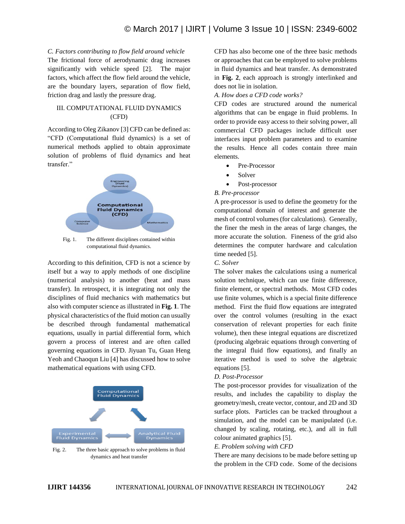# *C. Factors contributing to flow field around vehicle*

The frictional force of aerodynamic drag increases significantly with vehicle speed [2]. The major factors, which affect the flow field around the vehicle, are the boundary layers, separation of flow field, friction drag and lastly the pressure drag.

# III. COMPUTATIONAL FLUID DYNAMICS (CFD)

According to Oleg Zikanov [3] CFD can be defined as: "CFD (Computational fluid dynamics) is a set of numerical methods applied to obtain approximate solution of problems of fluid dynamics and heat transfer."



Fig. 1. The different disciplines contained within computational fluid dynamics.

According to this definition, CFD is not a science by itself but a way to apply methods of one discipline (numerical analysis) to another (heat and mass transfer). In retrospect, it is integrating not only the disciplines of fluid mechanics with mathematics but also with computer science as illustrated in **Fig. 1**. The physical characteristics of the fluid motion can usually be described through fundamental mathematical equations, usually in partial differential form, which govern a process of interest and are often called governing equations in CFD. Jiyuan Tu, Guan Heng Yeoh and Chaoqun Liu [4] has discussed how to solve mathematical equations with using CFD.



Fig. 2. The three basic approach to solve problems in fluid dynamics and heat transfer

CFD has also become one of the three basic methods or approaches that can be employed to solve problems in fluid dynamics and heat transfer. As demonstrated in **Fig. 2**, each approach is strongly interlinked and does not lie in isolation.

# *A. How does a CFD code works?*

CFD codes are structured around the numerical algorithms that can be engage in fluid problems. In order to provide easy access to their solving power, all commercial CFD packages include difficult user interfaces input problem parameters and to examine the results. Hence all codes contain three main elements.

- Pre-Processor
- Solver
- Post-processor

# *B. Pre-processor*

A pre-processor is used to define the geometry for the computational domain of interest and generate the mesh of control volumes (for calculations). Generally, the finer the mesh in the areas of large changes, the more accurate the solution. Fineness of the grid also determines the computer hardware and calculation time needed [5].

#### *C. Solver*

The solver makes the calculations using a numerical solution technique, which can use finite difference, finite element, or spectral methods. Most CFD codes use finite volumes, which is a special finite difference method. First the fluid flow equations are integrated over the control volumes (resulting in the exact conservation of relevant properties for each finite volume), then these integral equations are discretized (producing algebraic equations through converting of the integral fluid flow equations), and finally an iterative method is used to solve the algebraic equations [5].

#### *D. Post-Processor*

The post-processor provides for visualization of the results, and includes the capability to display the geometry/mesh, create vector, contour, and 2D and 3D surface plots. Particles can be tracked throughout a simulation, and the model can be manipulated (i.e. changed by scaling, rotating, etc.), and all in full colour animated graphics [5].

# *E. Problem solving with CFD*

There are many decisions to be made before setting up the problem in the CFD code. Some of the decisions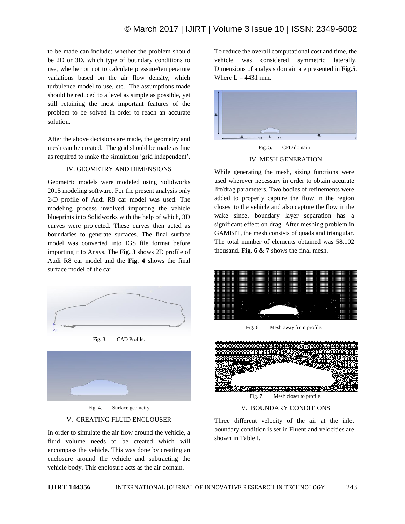to be made can include: whether the problem should be 2D or 3D, which type of boundary conditions to use, whether or not to calculate pressure/temperature variations based on the air flow density, which turbulence model to use, etc. The assumptions made should be reduced to a level as simple as possible, yet still retaining the most important features of the problem to be solved in order to reach an accurate solution.

After the above decisions are made, the geometry and mesh can be created. The grid should be made as fine as required to make the simulation 'grid independent'.

#### IV. GEOMETRY AND DIMENSIONS

Geometric models were modeled using Solidworks 2015 modeling software. For the present analysis only 2-D profile of Audi R8 car model was used. The modeling process involved importing the vehicle blueprints into Solidworks with the help of which, 3D curves were projected. These curves then acted as boundaries to generate surfaces. The final surface model was converted into IGS file format before importing it to Ansys. The **Fig. 3** shows 2D profile of Audi R8 car model and the **Fig. 4** shows the final surface model of the car.







Fig. 4. Surface geometry

#### V. CREATING FLUID ENCLOUSER

In order to simulate the air flow around the vehicle, a fluid volume needs to be created which will encompass the vehicle. This was done by creating an enclosure around the vehicle and subtracting the vehicle body. This enclosure acts as the air domain.

To reduce the overall computational cost and time, the vehicle was considered symmetric laterally. Dimensions of analysis domain are presented in **Fig.5**. Where  $L = 4431$  mm.





While generating the mesh, sizing functions were used wherever necessary in order to obtain accurate lift/drag parameters. Two bodies of refinements were added to properly capture the flow in the region closest to the vehicle and also capture the flow in the wake since, boundary layer separation has a significant effect on drag. After meshing problem in GAMBIT, the mesh consists of quads and triangular. The total number of elements obtained was 58.102 thousand. **Fig**. **6 & 7** shows the final mesh.



Fig. 6. Mesh away from profile.



Fig. 7. Mesh closer to profile.

# V. BOUNDARY CONDITIONS

Three different velocity of the air at the inlet boundary condition is set in Fluent and velocities are shown in Table I.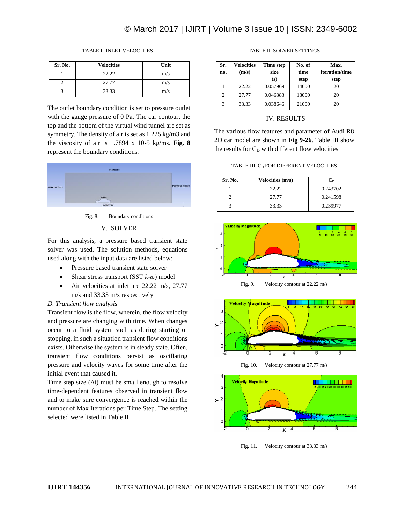# © March 2017 | IJIRT | Volume 3 Issue 10 | ISSN: 2349-6002

#### TABLE I. INLET VELOCITIES

| Sr. No. | <b>Velocities</b> | Unit |
|---------|-------------------|------|
|         | 22.22             | m/s  |
|         | 27.77             | m/s  |
|         | 33.33             | m/s  |

The outlet boundary condition is set to pressure outlet with the gauge pressure of 0 Pa. The car contour, the top and the bottom of the virtual wind tunnel are set as symmetry. The density of air is set as 1.225 kg/m3 and the viscosity of air is 1.7894 x 10-5 kg/ms. **Fig. 8**  represent the boundary conditions.



Fig. 8. Boundary conditions

#### V. SOLVER

For this analysis, a pressure based transient state solver was used. The solution methods, equations used along with the input data are listed below:

- Pressure based transient state solver
- Shear stress transport (SST  $k-\omega$ ) model
- Air velocities at inlet are 22.22 m/s, 27.77 m/s and 33.33 m/s respectively

#### *D. Transient flow analysis*

Transient flow is the flow, wherein, the flow velocity and pressure are changing with time. When changes occur to a fluid system such as during starting or stopping, in such a situation transient flow conditions exists. Otherwise the system is in steady state. Often, transient flow conditions persist as oscillating pressure and velocity waves for some time after the initial event that caused it.

Time step size  $(∆t)$  must be small enough to resolve time-dependent features observed in transient flow and to make sure convergence is reached within the number of Max Iterations per Time Step. The setting selected were listed in Table II.

| Sr.<br>no.     | <b>Velocities</b><br>(m/s) | Time step<br>size<br>(s) | No. of<br>time<br>step | Max.<br><i>iteration/time</i><br>step |
|----------------|----------------------------|--------------------------|------------------------|---------------------------------------|
|                | 22.22                      | 0.057969                 | 14000                  | 20                                    |
| $\mathfrak{D}$ | 27.77                      | 0.046383                 | 18000                  | 20                                    |
| 3              | 33.33                      | 0.038646                 | 21000                  | 20                                    |

#### TABLE II. SOLVER SETTINGS

#### IV. RESULTS

The various flow features and parameter of Audi R8 2D car model are shown in **Fig 9-26**. Table III show the results for  $C_D$  with different flow velocities

TABLE III. C<sub>D</sub> FOR DIFFERENT VELOCITIES

| Sr. No. | Velocities (m/s) | $\mathbf{C}_{\mathbf{D}}$ |
|---------|------------------|---------------------------|
|         | 22.22            | 0.243702                  |
|         | 27.77            | 0.241598                  |
|         | 33.33            | 0.239977                  |





Fig. 10. Velocity contour at 27.77 m/s



Fig. 11. Velocity contour at 33.33 m/s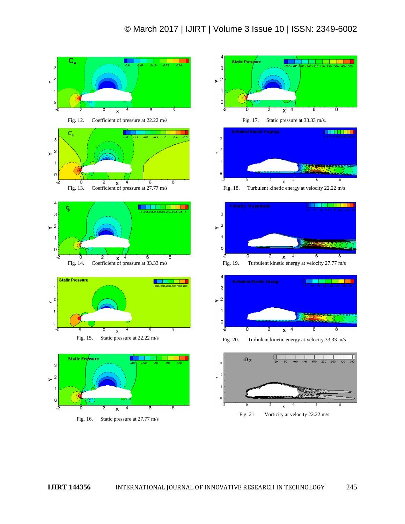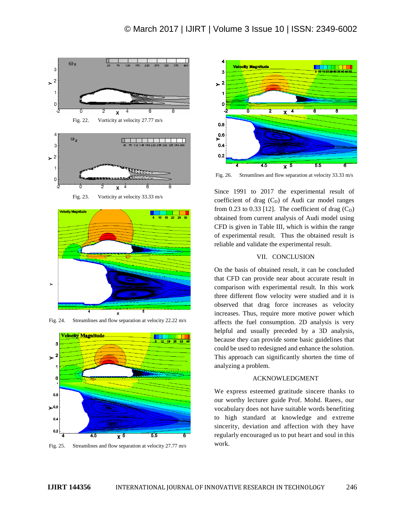

Fig. 23. Vorticity at velocity 33.33 m/s





Fig. 24. Streamlines and flow separation at velocity 22.22 m/s

Fig. 25. Streamlines and flow separation at velocity 27.77 m/s



Fig. 26. Streamlines and flow separation at velocity 33.33 m/s

Since 1991 to 2017 the experimental result of coefficient of drag  $(C_D)$  of Audi car model ranges from 0.23 to 0.33 [12]. The coefficient of drag  $(C_D)$ obtained from current analysis of Audi model using CFD is given in Table III, which is within the range of experimental result. Thus the obtained result is reliable and validate the experimental result.

#### VII. CONCLUSION

On the basis of obtained result, it can be concluded that CFD can provide near about accurate result in comparison with experimental result. In this work three different flow velocity were studied and it is observed that drag force increases as velocity increases. Thus, require more motive power which affects the fuel consumption. 2D analysis is very helpful and usually preceded by a 3D analysis, because they can provide some basic guidelines that could be used to redesigned and enhance the solution. This approach can significantly shorten the time of analyzing a problem.

# ACKNOWLEDGMENT

We express esteemed gratitude sincere thanks to our worthy lecturer guide Prof. Mohd. Raees, our vocabulary does not have suitable words benefiting to high standard at knowledge and extreme sincerity, deviation and affection with they have regularly encouraged us to put heart and soul in this work.